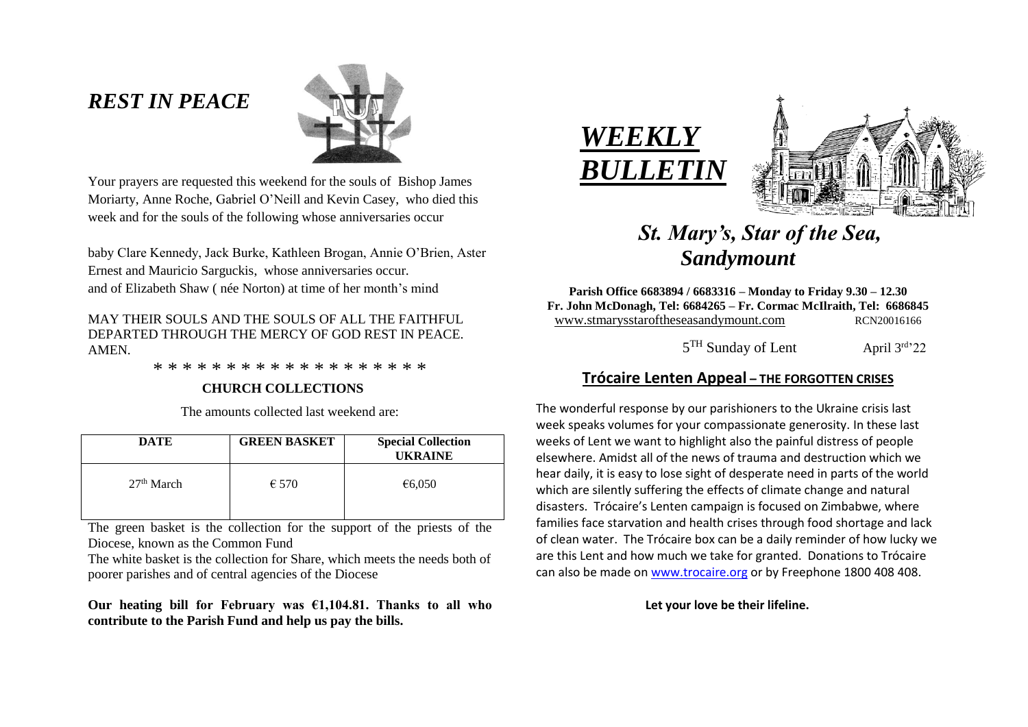# *REST IN PEACE*



Your prayers are requested this weekend for the souls of Bishop James Moriarty, Anne Roche, Gabriel O'Neill and Kevin Casey, who died this week and for the souls of the following whose anniversaries occur

baby Clare Kennedy, Jack Burke, Kathleen Brogan, Annie O'Brien, Aster Ernest and Mauricio Sarguckis, whose anniversaries occur. and of Elizabeth Shaw ( née Norton) at time of her month's mind

MAY THEIR SOULS AND THE SOULS OF ALL THE FAITHFUL DEPARTED THROUGH THE MERCY OF GOD REST IN PEACE. AMEN.

\* \* \* \* \* \* \* \* \* \* \* \* \* \* \* \* \* \* \*

#### **CHURCH COLLECTIONS**

The amounts collected last weekend are:

| <b>DATE</b>  | <b>GREEN BASKET</b> | <b>Special Collection</b><br><b>UKRAINE</b> |
|--------------|---------------------|---------------------------------------------|
| $27th$ March | $\epsilon$ 570      | €6,050                                      |

The green basket is the collection for the support of the priests of the Diocese, known as the Common Fund

The white basket is the collection for Share, which meets the needs both of poorer parishes and of central agencies of the Diocese

**Our heating bill for February was €1,104.81. Thanks to all who contribute to the Parish Fund and help us pay the bills.**





# *St. Mary's, Star of the Sea, Sandymount*

**Parish Office 6683894 / 6683316 – Monday to Friday 9.30 – 12.30 Fr. John McDonagh, Tel: 6684265 – Fr. Cormac McIlraith, Tel: 6686845** www.stmarysstaroftheseasandymount.com RCN20016166

 $\sim$  5  $5<sup>TH</sup>$  Sunday of Lent April  $3<sup>rd</sup>$  22

# **Trócaire Lenten Appeal – THE FORGOTTEN CRISES**

The wonderful response by our parishioners to the Ukraine crisis last week speaks volumes for your compassionate generosity. In these last weeks of Lent we want to highlight also the painful distress of people elsewhere. Amidst all of the news of trauma and destruction which we hear daily, it is easy to lose sight of desperate need in parts of the world which are silently suffering the effects of climate change and natural disasters. Trócaire's Lenten campaign is focused on Zimbabwe, where families face starvation and health crises through food shortage and lack of clean water. The Trócaire box can be a daily reminder of how lucky we are this Lent and how much we take for granted. Donations to Trócaire can also be made on [www.trocaire.org](http://www.trocaire.org/) or by Freephone 1800 408 408.

#### **Let your love be their lifeline.**